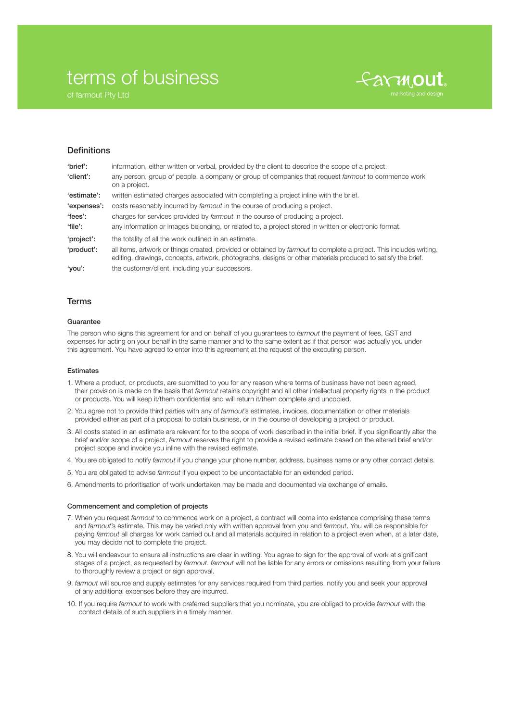# terms of business

of farmout Pty Ltd



## **Definitions**

| 'brief':    | information, either written or verbal, provided by the client to describe the scope of a project.                                                                                                                                   |
|-------------|-------------------------------------------------------------------------------------------------------------------------------------------------------------------------------------------------------------------------------------|
| 'client':   | any person, group of people, a company or group of companies that request farmout to commence work<br>on a project.                                                                                                                 |
| 'estimate': | written estimated charges associated with completing a project inline with the brief.                                                                                                                                               |
| 'expenses': | costs reasonably incurred by <i>farmout</i> in the course of producing a project.                                                                                                                                                   |
| 'fees':     | charges for services provided by <i>farmout</i> in the course of producing a project.                                                                                                                                               |
| 'file':     | any information or images belonging, or related to, a project stored in written or electronic format.                                                                                                                               |
| 'project':  | the totality of all the work outlined in an estimate.                                                                                                                                                                               |
| 'product':  | all items, artwork or things created, provided or obtained by farmout to complete a project. This includes writing,<br>editing, drawings, concepts, artwork, photographs, designs or other materials produced to satisfy the brief. |
| 'you':      | the customer/client, including your successors.                                                                                                                                                                                     |

## Terms

## **Guarantee**

The person who signs this agreement for and on behalf of you guarantees to *farmout* the payment of fees, GST and expenses for acting on your behalf in the same manner and to the same extent as if that person was actually you under this agreement. You have agreed to enter into this agreement at the request of the executing person.

## Estimates

- 1. Where a product, or products, are submitted to you for any reason where terms of business have not been agreed, their provision is made on the basis that *farmout* retains copyright and all other intellectual property rights in the product or products. You will keep it/them confidential and will return it/them complete and uncopied.
- 2. You agree not to provide third parties with any of *farmout*'s estimates, invoices, documentation or other materials provided either as part of a proposal to obtain business, or in the course of developing a project or product.
- 3. All costs stated in an estimate are relevant for to the scope of work described in the initial brief. If you significantly alter the brief and/or scope of a project, *farmout* reserves the right to provide a revised estimate based on the altered brief and/or project scope and invoice you inline with the revised estimate.
- 4. You are obligated to notify *farmout* if you change your phone number, address, business name or any other contact details.
- 5. You are obligated to advise *farmout* if you expect to be uncontactable for an extended period.
- 6. Amendments to prioritisation of work undertaken may be made and documented via exchange of emails.

#### Commencement and completion of projects

- 7. When you request *farmout* to commence work on a project, a contract will come into existence comprising these terms and *farmout*'s estimate. This may be varied only with written approval from you and *farmout*. You will be responsible for paying *farmout* all charges for work carried out and all materials acquired in relation to a project even when, at a later date, you may decide not to complete the project.
- 8. You will endeavour to ensure all instructions are clear in writing. You agree to sign for the approval of work at significant stages of a project, as requested by *farmout*. *farmout* will not be liable for any errors or omissions resulting from your failure to thoroughly review a project or sign approval.
- 9. *farmout* will source and supply estimates for any services required from third parties, notify you and seek your approval of any additional expenses before they are incurred.
- 10. If you require *farmout* to work with preferred suppliers that you nominate, you are obliged to provide *farmout* with the contact details of such suppliers in a timely manner.